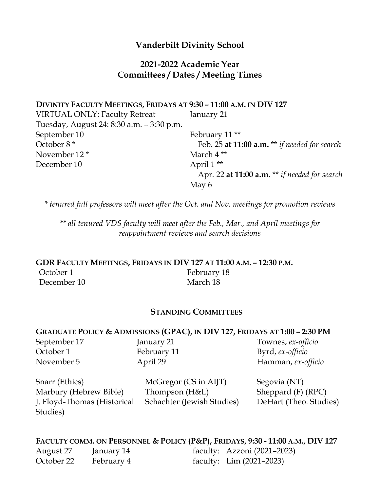# **Vanderbilt Divinity School**

# **2021-2022 Academic Year Committees / Dates / Meeting Times**

| DIVINITY FACULTY MEETINGS, FRIDAYS AT 9:30 - 11:00 A.M. IN DIV 127 |                                                        |
|--------------------------------------------------------------------|--------------------------------------------------------|
| <b>VIRTUAL ONLY: Faculty Retreat</b>                               | January 21                                             |
| Tuesday, August 24: 8:30 a.m. - 3:30 p.m.                          |                                                        |
| September 10                                                       | February 11 <sup>**</sup>                              |
| October 8 <sup>*</sup>                                             | Feb. 25 at 11:00 $a.m.$ ** <i>if needed for search</i> |
| November 12 <sup>*</sup>                                           | March 4**                                              |
| December 10                                                        | April $1**$                                            |
|                                                                    | Apr. 22 at 11:00 $a.m.$ ** if needed for search        |
|                                                                    | May 6                                                  |

*\* tenured full professors will meet after the Oct. and Nov. meetings for promotion reviews*

*\*\* all tenured VDS faculty will meet after the Feb., Mar., and April meetings for reappointment reviews and search decisions*

**GDR FACULTY MEETINGS, FRIDAYS IN DIV 127 AT 11:00 A.M. – 12:30 P.M.** October 1 February 18 December 10 March 18

#### **STANDING COMMITTEES**

#### **GRADUATE POLICY & ADMISSIONS (GPAC), IN DIV 127, FRIDAYS AT 1:00 – 2:30 PM**

October 1 February 11 Byrd, *ex-officio* 

September 17 January 21 Townes, *ex-officio* November 5 April 29 Hamman, *ex-officio*

| Snarr (Ethics)              | McGregor (CS in AIJT)      | Segovia (NT)           |
|-----------------------------|----------------------------|------------------------|
| Marbury (Hebrew Bible)      | Thompson $(H&L)$           | Sheppard $(F)$ (RPC)   |
| J. Floyd-Thomas (Historical | Schachter (Jewish Studies) | DeHart (Theo. Studies) |
| Studies)                    |                            |                        |

**FACULTY COMM. ON PERSONNEL & POLICY (P&P), FRIDAYS, 9:30 - 11:00 A.M., DIV 127** August 27 January 14 faculty: Azzoni (2021–2023) October 22 February 4 faculty: Lim (2021–2023)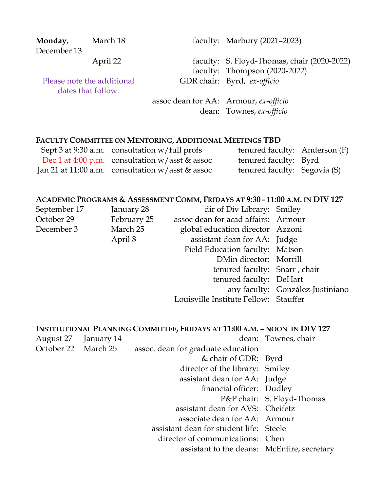**Monday**, December 13

Please note the additional dates that follow.

March 18 faculty: Marbury (2021–2023)

April 22 faculty: S. Floyd-Thomas, chair (2020-2022) faculty: Thompson (2020-2022) GDR chair: Byrd, *ex-officio*

> assoc dean for AA: Armour, *ex-officio* dean: Townes, *ex-officio*

# **FACULTY COMMITTEE ON MENTORING, ADDITIONAL MEETINGS TBD**

| Sept 3 at 9:30 a.m. consultation $w$ /full profs     | tenured faculty: Anderson (F) |  |
|------------------------------------------------------|-------------------------------|--|
| Dec 1 at 4:00 p.m. consultation $w /$ asst & assoc   | tenured faculty: Byrd         |  |
| Jan 21 at 11:00 a.m. consultation $w /$ asst & assoc | tenured faculty: Segovia (S)  |  |

# **ACADEMIC PROGRAMS & ASSESSMENT COMM, FRIDAYS AT 9:30 - 11:00 A.M. IN DIV 127**

| September 17 | January 28  | dir of Div Library: Smiley            |                                  |
|--------------|-------------|---------------------------------------|----------------------------------|
| October 29   | February 25 | assoc dean for acad affairs: Armour   |                                  |
| December 3   | March 25    | global education director Azzoni      |                                  |
|              | April 8     | assistant dean for AA: Judge          |                                  |
|              |             | Field Education faculty: Matson       |                                  |
|              |             | DMin director: Morrill                |                                  |
|              |             | tenured faculty: Snarr, chair         |                                  |
|              |             | tenured faculty: DeHart               |                                  |
|              |             |                                       | any faculty: González-Justiniano |
|              |             | Louisville Institute Fellow: Stauffer |                                  |
|              |             |                                       |                                  |

|                      | INSTITUTIONAL PLANNING COMMITTEE, FRIDAYS AT 11:00 A.M. - NOON IN DIV 127 |                            |
|----------------------|---------------------------------------------------------------------------|----------------------------|
| August 27 January 14 |                                                                           | dean: Townes, chair        |
| October 22 March 25  | assoc. dean for graduate education                                        |                            |
|                      | & chair of GDR: Byrd                                                      |                            |
|                      | director of the library: Smiley                                           |                            |
|                      | assistant dean for AA: Judge                                              |                            |
|                      | financial officer: Dudley                                                 |                            |
|                      |                                                                           | P&P chair: S. Floyd-Thomas |
|                      | assistant dean for AVS: Cheifetz                                          |                            |
|                      | associate dean for AA: Armour                                             |                            |
|                      | assistant dean for student life: Steele                                   |                            |
|                      | director of communications: Chen                                          |                            |
|                      | assistant to the deans: McEntire, secretary                               |                            |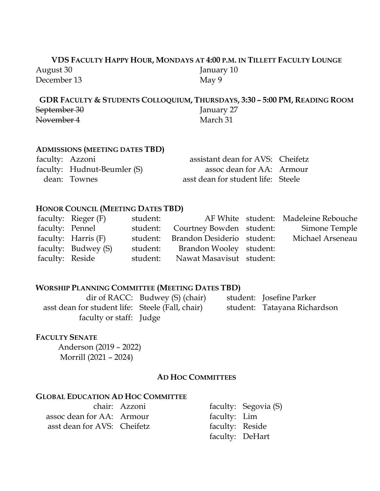# **VDS FACULTY HAPPY HOUR, MONDAYS AT 4:00 P.M. IN TILLETT FACULTY LOUNGE** August 30 January 10 December 13 May 9

**GDR FACULTY & STUDENTS COLLOQUIUM, THURSDAYS, 3:30 – 5:00 PM, READING ROOM** September 30 January 27 November 4 March 31

## **ADMISSIONS (MEETING DATES TBD)**

| faculty: Azzoni             | assistant dean for AVS: Cheifetz   |  |
|-----------------------------|------------------------------------|--|
| faculty: Hudnut-Beumler (S) | assoc dean for AA: Armour          |  |
| dean: Townes                | asst dean for student life: Steele |  |

#### **HONOR COUNCIL (MEETING DATES TBD)**

|                 | faculty: Rieger $(F)$ | student: |                                     | AF White student: Madeleine Rebouche |
|-----------------|-----------------------|----------|-------------------------------------|--------------------------------------|
| faculty: Pennel |                       |          | student: Courtney Bowden student:   | Simone Temple                        |
|                 | faculty: Harris (F)   |          | student: Brandon Desiderio student: | Michael Arseneau                     |
|                 | faculty: Budwey (S)   |          | student: Brandon Wooley student:    |                                      |
| faculty: Reside |                       |          | student: Nawat Masavisut student:   |                                      |

#### **WORSHIP PLANNING COMMITTEE (MEETING DATES TBD)**

dir of RACC: Budwey (S) (chair) student: Josefine Parker asst dean for student life: Steele (Fall, chair) student: Tatayana Richardson faculty or staff: Judge

## **FACULTY SENATE**

Anderson (2019 – 2022) Morrill (2021 – 2024)

#### **AD HOC COMMITTEES**

#### **GLOBAL EDUCATION AD HOC COMMITTEE**

|                             | chair: Azzoni |                 | faculty: Segovia (S) |
|-----------------------------|---------------|-----------------|----------------------|
| assoc dean for AA: Armour   |               | faculty: Lim    |                      |
| asst dean for AVS: Cheifetz |               | faculty: Reside |                      |
|                             |               |                 | faculty: DeHart      |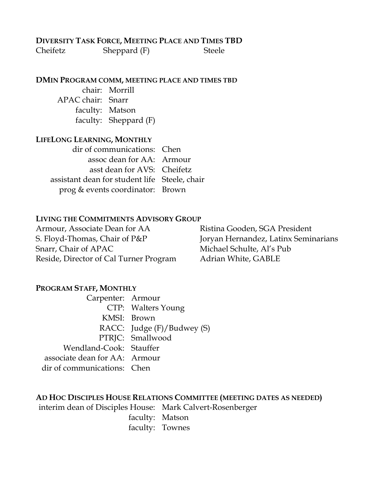# **DIVERSITY TASK FORCE, MEETING PLACE AND TIMES TBD**

Cheifetz Sheppard (F) Steele

**DMIN PROGRAM COMM, MEETING PLACE AND TIMES TBD**

chair: Morrill APAC chair: Snarr faculty: Matson faculty: Sheppard (F)

#### **LIFELONG LEARNING, MONTHLY**

| dir of communications: Chen                   |  |
|-----------------------------------------------|--|
| assoc dean for AA: Armour                     |  |
| asst dean for AVS: Cheifetz                   |  |
| assistant dean for student life Steele, chair |  |
| prog & events coordinator: Brown              |  |

#### **LIVING THE COMMITMENTS ADVISORY GROUP**

Armour, Associate Dean for AA Ristina Gooden, SGA President S. Floyd-Thomas, Chair of P&P Joryan Hernandez, Latinx Seminarians Snarr, Chair of APAC Michael Schulte, Al's Pub Reside, Director of Cal Turner Program Adrian White, GABLE

#### **PROGRAM STAFF, MONTHLY**

Carpenter: Armour CTP: Walters Young KMSI: Brown RACC: Judge (F)/Budwey (S) PTRJC: Smallwood Wendland-Cook: Stauffer associate dean for AA: Armour dir of communications: Chen

#### **AD HOC DISCIPLES HOUSE RELATIONS COMMITTEE (MEETING DATES AS NEEDED)**

interim dean of Disciples House: Mark Calvert-Rosenberger

faculty: Matson faculty: Townes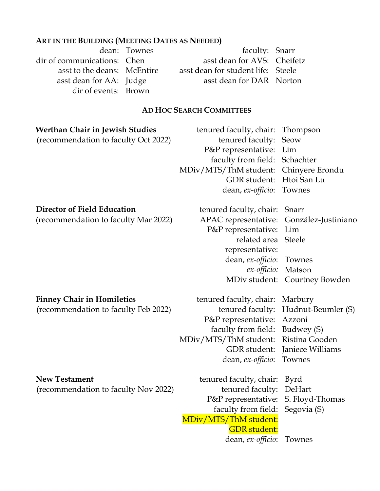## **ART IN THE BUILDING (MEETING DATES AS NEEDED)**

dir of events: Brown

dean: Townes faculty: Snarr dir of communications: Chen asst dean for AVS: Cheifetz asst to the deans: McEntire asst dean for student life: Steele asst dean for AA: Judge asst dean for DAR Norton

## **AD HOC SEARCH COMMITTEES**

| <b>Werthan Chair in Jewish Studies</b><br>(recommendation to faculty Oct 2022) | tenured faculty, chair:<br>tenured faculty:<br>P&P representative:<br>faculty from field:<br>MDiv/MTS/ThM student:<br>GDR student:                             | Thompson<br>Seow<br>Lim<br>Schachter<br>Chinyere Erondu<br>Htoi San Lu                                |
|--------------------------------------------------------------------------------|----------------------------------------------------------------------------------------------------------------------------------------------------------------|-------------------------------------------------------------------------------------------------------|
|                                                                                | dean, ex-officio:                                                                                                                                              | Townes                                                                                                |
| Director of Field Education<br>(recommendation to faculty Mar 2022)            | tenured faculty, chair:<br>APAC representative:<br>P&P representative:<br>related area<br>representative:                                                      | Snarr<br>González-Justiniano<br>Lim<br><b>Steele</b>                                                  |
|                                                                                | dean, ex-officio:<br>ex-officio:                                                                                                                               | Townes<br>Matson<br>MDiv student: Courtney Bowden                                                     |
| <b>Finney Chair in Homiletics</b><br>(recommendation to faculty Feb 2022)      | tenured faculty, chair:<br>tenured faculty:<br>P&P representative:<br>faculty from field:<br>MDiv/MTS/ThM student:<br><b>GDR</b> student:<br>dean, ex-officio: | Marbury<br>Hudnut-Beumler (S)<br>Azzoni<br>Budwey (S)<br>Ristina Gooden<br>Janiece Williams<br>Townes |
| <b>New Testament</b><br>(recommendation to faculty Nov 2022)                   | tenured faculty, chair:<br>tenured faculty:<br>P&P representative:<br>faculty from field:                                                                      | Byrd<br>DeHart<br>S. Floyd-Thomas<br>Segovia (S)                                                      |

GDR student: dean, *ex-officio*: Townes

MDiv/MTS/ThM student: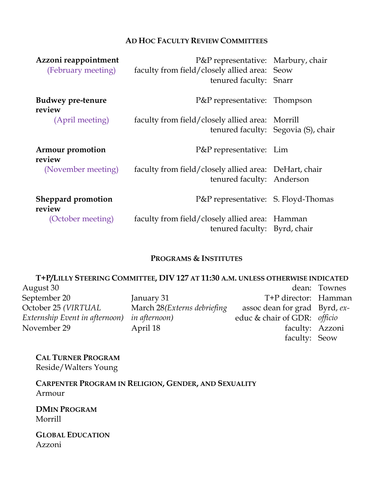#### **AD HOC FACULTY REVIEW COMMITTEES**

| Azzoni reappointment<br>(February meeting) | P&P representative: Marbury, chair<br>faculty from field/closely allied area: Seow<br>tenured faculty: Snarr |                                     |
|--------------------------------------------|--------------------------------------------------------------------------------------------------------------|-------------------------------------|
| <b>Budwey pre-tenure</b><br>review         | P&P representative: Thompson                                                                                 |                                     |
| (April meeting)                            | faculty from field/closely allied area: Morrill                                                              | tenured faculty: Segovia (S), chair |
| Armour promotion<br>review                 | P&P representative: Lim                                                                                      |                                     |
| (November meeting)                         | faculty from field/closely allied area: DeHart, chair<br>tenured faculty: Anderson                           |                                     |
| Sheppard promotion<br>review               | P&P representative: S. Floyd-Thomas                                                                          |                                     |
| (October meeting)                          | faculty from field/closely allied area: Hamman<br>tenured faculty: Byrd, chair                               |                                     |

## **PROGRAMS & INSTITUTES**

|                                | T+P/LILLY STEERING COMMITTEE, DIV 127 AT 11:30 A.M. UNLESS OTHERWISE INDICATED |                               |              |
|--------------------------------|--------------------------------------------------------------------------------|-------------------------------|--------------|
| August 30                      |                                                                                |                               | dean: Townes |
| September 20                   | January 31                                                                     | T+P director: Hamman          |              |
| October 25 (VIRTUAL            | March 28 (Externs debriefing                                                   | assoc dean for grad Byrd, ex- |              |
| Externship Event in afternoon) | in afternoon)                                                                  | educ & chair of GDR: officio  |              |
| November 29                    | April 18                                                                       | faculty: Azzoni               |              |
|                                |                                                                                | faculty: Seow                 |              |

**CAL TURNER PROGRAM** Reside/Walters Young

**CARPENTER PROGRAM IN RELIGION, GENDER, AND SEXUALITY** Armour

**DMIN PROGRAM** Morrill

**GLOBAL EDUCATION** Azzoni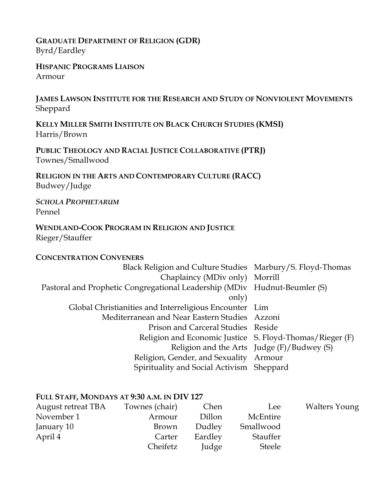## **GRADUATE DEPARTMENT OF RELIGION (GDR)** Byrd/Eardley

**HISPANIC PROGRAMS LIAISON** Armour

**JAMES LAWSON INSTITUTE FOR THE RESEARCH AND STUDY OF NONVIOLENT MOVEMENTS** Sheppard

**KELLY MILLER SMITH INSTITUTE ON BLACK CHURCH STUDIES (KMSI)** Harris/Brown

**PUBLIC THEOLOGY AND RACIAL JUSTICE COLLABORATIVE (PTRJ)** Townes/Smallwood

**RELIGION IN THE ARTS AND CONTEMPORARY CULTURE (RACC)** Budwey/Judge

*SCHOLA PROPHETARUM* Pennel

## **WENDLAND-COOK PROGRAM IN RELIGION AND JUSTICE** Rieger/Stauffer

#### **CONCENTRATION CONVENERS**

| Black Religion and Culture Studies Marbury/S. Floyd-Thomas                |                                            |
|---------------------------------------------------------------------------|--------------------------------------------|
| Chaplaincy (MDiv only) Morrill                                            |                                            |
| Pastoral and Prophetic Congregational Leadership (MDiv Hudnut-Beumler (S) |                                            |
| only)                                                                     |                                            |
| Global Christianities and Interreligious Encounter Lim                    |                                            |
| Mediterranean and Near Eastern Studies Azzoni                             |                                            |
| Prison and Carceral Studies Reside                                        |                                            |
| Religion and Economic Justice S. Floyd-Thomas/Rieger (F)                  |                                            |
|                                                                           | Religion and the Arts Judge (F)/Budwey (S) |
| Religion, Gender, and Sexuality Armour                                    |                                            |
| Spirituality and Social Activism Sheppard                                 |                                            |

## **FULL STAFF, MONDAYS AT 9:30 A.M. IN DIV 127**

| August retreat TBA | Townes (chair) | Chen    | Lee       | <b>Walters Young</b> |
|--------------------|----------------|---------|-----------|----------------------|
| November 1         | Armour         | Dillon  | McEntire  |                      |
| January 10         | Brown          | Dudley  | Smallwood |                      |
| April 4            | Carter         | Eardley | Stauffer  |                      |
|                    | Cheifetz       | Judge   | Steele    |                      |